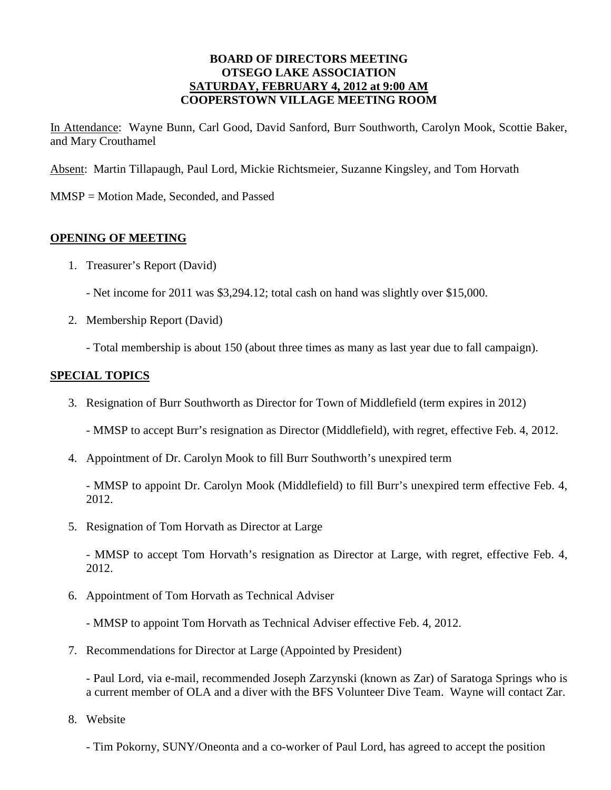#### **BOARD OF DIRECTORS MEETING OTSEGO LAKE ASSOCIATION SATURDAY, FEBRUARY 4, 2012 at 9:00 AM COOPERSTOWN VILLAGE MEETING ROOM**

In Attendance: Wayne Bunn, Carl Good, David Sanford, Burr Southworth, Carolyn Mook, Scottie Baker, and Mary Crouthamel

Absent: Martin Tillapaugh, Paul Lord, Mickie Richtsmeier, Suzanne Kingsley, and Tom Horvath

MMSP = Motion Made, Seconded, and Passed

# **OPENING OF MEETING**

- 1. Treasurer's Report (David)
	- Net income for 2011 was \$3,294.12; total cash on hand was slightly over \$15,000.
- 2. Membership Report (David)
	- Total membership is about 150 (about three times as many as last year due to fall campaign).

# **SPECIAL TOPICS**

- 3. Resignation of Burr Southworth as Director for Town of Middlefield (term expires in 2012)
	- MMSP to accept Burr's resignation as Director (Middlefield), with regret, effective Feb. 4, 2012.
- 4. Appointment of Dr. Carolyn Mook to fill Burr Southworth's unexpired term

- MMSP to appoint Dr. Carolyn Mook (Middlefield) to fill Burr's unexpired term effective Feb. 4, 2012.

5. Resignation of Tom Horvath as Director at Large

- MMSP to accept Tom Horvath's resignation as Director at Large, with regret, effective Feb. 4, 2012.

6. Appointment of Tom Horvath as Technical Adviser

- MMSP to appoint Tom Horvath as Technical Adviser effective Feb. 4, 2012.

7. Recommendations for Director at Large (Appointed by President)

- Paul Lord, via e-mail, recommended Joseph Zarzynski (known as Zar) of Saratoga Springs who is a current member of OLA and a diver with the BFS Volunteer Dive Team. Wayne will contact Zar.

8. Website

- Tim Pokorny, SUNY/Oneonta and a co-worker of Paul Lord, has agreed to accept the position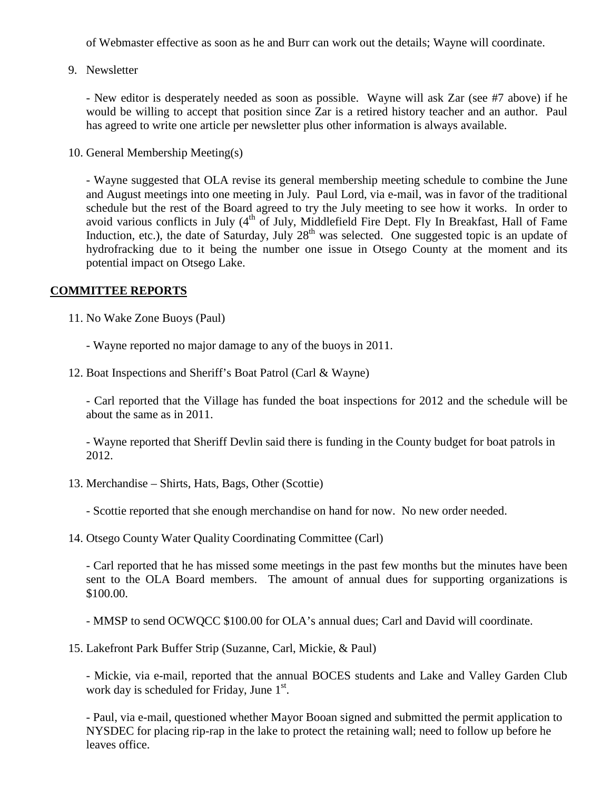of Webmaster effective as soon as he and Burr can work out the details; Wayne will coordinate.

9. Newsletter

- New editor is desperately needed as soon as possible. Wayne will ask Zar (see #7 above) if he would be willing to accept that position since Zar is a retired history teacher and an author. Paul has agreed to write one article per newsletter plus other information is always available.

10. General Membership Meeting(s)

- Wayne suggested that OLA revise its general membership meeting schedule to combine the June and August meetings into one meeting in July. Paul Lord, via e-mail, was in favor of the traditional schedule but the rest of the Board agreed to try the July meeting to see how it works. In order to avoid various conflicts in July (4<sup>th</sup> of July, Middlefield Fire Dept. Fly In Breakfast, Hall of Fame Induction, etc.), the date of Saturday, July  $28<sup>th</sup>$  was selected. One suggested topic is an update of hydrofracking due to it being the number one issue in Otsego County at the moment and its potential impact on Otsego Lake.

### **COMMITTEE REPORTS**

- 11. No Wake Zone Buoys (Paul)
	- Wayne reported no major damage to any of the buoys in 2011.
- 12. Boat Inspections and Sheriff's Boat Patrol (Carl & Wayne)

- Carl reported that the Village has funded the boat inspections for 2012 and the schedule will be about the same as in 2011.

- Wayne reported that Sheriff Devlin said there is funding in the County budget for boat patrols in 2012.

13. Merchandise – Shirts, Hats, Bags, Other (Scottie)

- Scottie reported that she enough merchandise on hand for now. No new order needed.

14. Otsego County Water Quality Coordinating Committee (Carl)

- Carl reported that he has missed some meetings in the past few months but the minutes have been sent to the OLA Board members. The amount of annual dues for supporting organizations is \$100.00.

- MMSP to send OCWQCC \$100.00 for OLA's annual dues; Carl and David will coordinate.

15. Lakefront Park Buffer Strip (Suzanne, Carl, Mickie, & Paul)

- Mickie, via e-mail, reported that the annual BOCES students and Lake and Valley Garden Club work day is scheduled for Friday, June 1st.

- Paul, via e-mail, questioned whether Mayor Booan signed and submitted the permit application to NYSDEC for placing rip-rap in the lake to protect the retaining wall; need to follow up before he leaves office.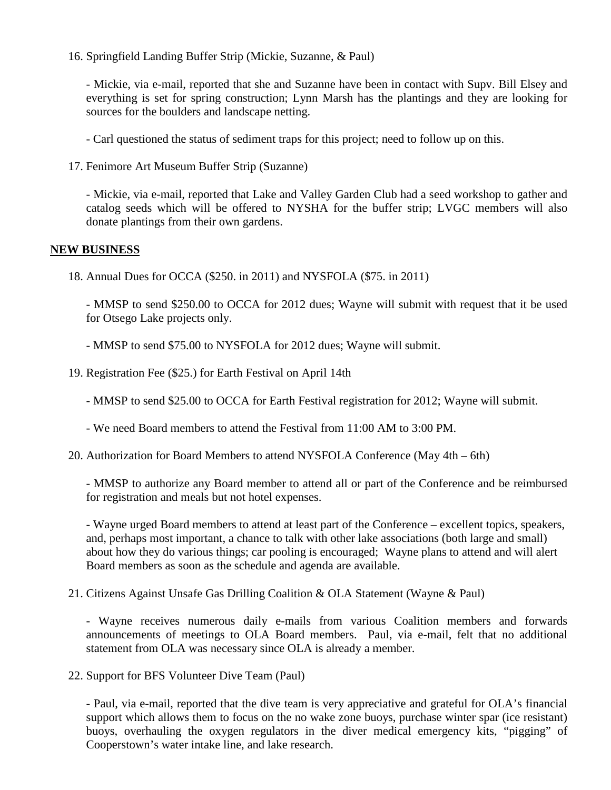16. Springfield Landing Buffer Strip (Mickie, Suzanne, & Paul)

- Mickie, via e-mail, reported that she and Suzanne have been in contact with Supv. Bill Elsey and everything is set for spring construction; Lynn Marsh has the plantings and they are looking for sources for the boulders and landscape netting.

- Carl questioned the status of sediment traps for this project; need to follow up on this.

17. Fenimore Art Museum Buffer Strip (Suzanne)

- Mickie, via e-mail, reported that Lake and Valley Garden Club had a seed workshop to gather and catalog seeds which will be offered to NYSHA for the buffer strip; LVGC members will also donate plantings from their own gardens.

#### **NEW BUSINESS**

18. Annual Dues for OCCA (\$250. in 2011) and NYSFOLA (\$75. in 2011)

- MMSP to send \$250.00 to OCCA for 2012 dues; Wayne will submit with request that it be used for Otsego Lake projects only.

- MMSP to send \$75.00 to NYSFOLA for 2012 dues; Wayne will submit.

19. Registration Fee (\$25.) for Earth Festival on April 14th

- MMSP to send \$25.00 to OCCA for Earth Festival registration for 2012; Wayne will submit.

- We need Board members to attend the Festival from 11:00 AM to 3:00 PM.

20. Authorization for Board Members to attend NYSFOLA Conference (May 4th – 6th)

- MMSP to authorize any Board member to attend all or part of the Conference and be reimbursed for registration and meals but not hotel expenses.

- Wayne urged Board members to attend at least part of the Conference – excellent topics, speakers, and, perhaps most important, a chance to talk with other lake associations (both large and small) about how they do various things; car pooling is encouraged; Wayne plans to attend and will alert Board members as soon as the schedule and agenda are available.

21. Citizens Against Unsafe Gas Drilling Coalition & OLA Statement (Wayne & Paul)

- Wayne receives numerous daily e-mails from various Coalition members and forwards announcements of meetings to OLA Board members. Paul, via e-mail, felt that no additional statement from OLA was necessary since OLA is already a member.

22. Support for BFS Volunteer Dive Team (Paul)

- Paul, via e-mail, reported that the dive team is very appreciative and grateful for OLA's financial support which allows them to focus on the no wake zone buoys, purchase winter spar (ice resistant) buoys, overhauling the oxygen regulators in the diver medical emergency kits, "pigging" of Cooperstown's water intake line, and lake research.